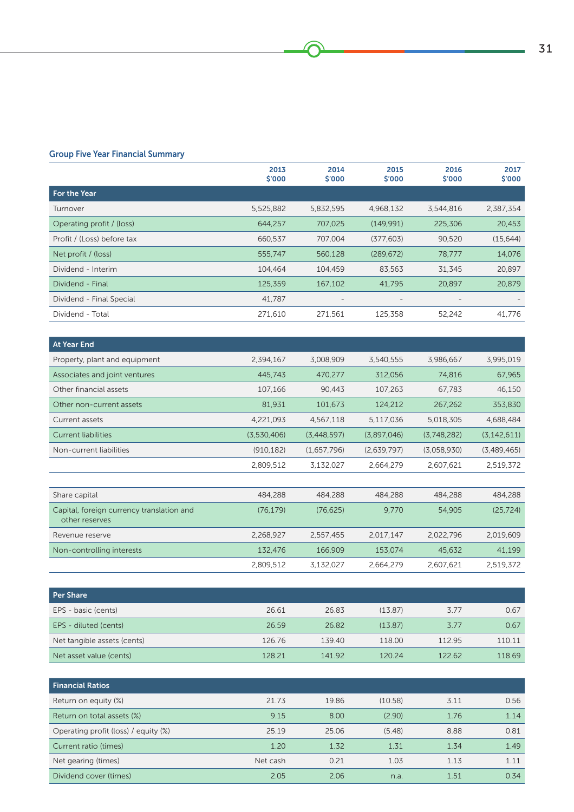# Group Five Year Financial Summary

|                            | 2013<br>\$'000 | 2014<br>\$′000           | 2015<br>\$'000           | 2016<br>\$'000           | 2017<br>\$'000 |
|----------------------------|----------------|--------------------------|--------------------------|--------------------------|----------------|
| For the Year               |                |                          |                          |                          |                |
| Turnover                   | 5,525,882      | 5,832,595                | 4,968,132                | 3,544,816                | 2,387,354      |
| Operating profit / (loss)  | 644,257        | 707,025                  | (149,991)                | 225,306                  | 20,453         |
| Profit / (Loss) before tax | 660.537        | 707.004                  | (377, 603)               | 90,520                   | (15, 644)      |
| Net profit / (loss)        | 555,747        | 560,128                  | (289, 672)               | 78.777                   | 14,076         |
| Dividend - Interim         | 104,464        | 104,459                  | 83,563                   | 31,345                   | 20,897         |
| Dividend - Final           | 125,359        | 167,102                  | 41,795                   | 20,897                   | 20,879         |
| Dividend - Final Special   | 41.787         | $\overline{\phantom{a}}$ | $\overline{\phantom{a}}$ | $\overline{\phantom{a}}$ |                |
| Dividend - Total           | 271,610        | 271,561                  | 125,358                  | 52,242                   | 41,776         |

| At Year End                   |             |             |             |             |               |
|-------------------------------|-------------|-------------|-------------|-------------|---------------|
| Property, plant and equipment | 2,394,167   | 3.008.909   | 3.540.555   | 3,986,667   | 3,995,019     |
| Associates and joint ventures | 445,743     | 470,277     | 312.056     | 74,816      | 67,965        |
| Other financial assets        | 107.166     | 90.443      | 107.263     | 67.783      | 46,150        |
| Other non-current assets      | 81.931      | 101.673     | 124,212     | 267.262     | 353,830       |
| Current assets                | 4.221.093   | 4.567.118   | 5.117.036   | 5.018.305   | 4,688,484     |
| Current liabilities           | (3,530,406) | (3.448.597) | (3.897.046) | (3.748.282) | (3, 142, 611) |
| Non-current liabilities       | (910, 182)  | (1,657,796) | (2,639,797) | (3,058,930) | (3,489,465)   |
|                               | 2,809,512   | 3.132.027   | 2.664.279   | 2.607.621   | 2.519.372     |

| Share capital                                               | 484,288   | 484.288   | 484.288   | 484,288   | 484,288   |
|-------------------------------------------------------------|-----------|-----------|-----------|-----------|-----------|
| Capital, foreign currency translation and<br>other reserves | (76.179)  | (76.625)  | 9.770     | 54.905    | (25.724)  |
| Revenue reserve                                             | 2.268.927 | 2.557.455 | 2.017.147 | 2.022.796 | 2.019.609 |
| Non-controlling interests                                   | 132.476   | 166,909   | 153.074   | 45,632    | 41,199    |
|                                                             | 2.809.512 | 3.132.027 | 2.664.279 | 2.607.621 | 2.519.372 |

| Per Share                   |        |        |         |        |        |
|-----------------------------|--------|--------|---------|--------|--------|
| EPS - basic (cents)         | 26.61  | 26.83  | (13.87) | 3.77   | 0.67   |
| EPS - diluted (cents)       | 26.59  | 26.82  | (13.87) | 3.77   | 0.67   |
| Net tangible assets (cents) | 126.76 | 139.40 | 118.00  | 11295  | 110.11 |
| Net asset value (cents)     | 128.21 | 141 92 | 12024   | 122.62 | 118.69 |

| <b>Financial Ratios</b>              |          |       |         |      |      |
|--------------------------------------|----------|-------|---------|------|------|
| Return on equity (%)                 | 21.73    | 19.86 | (10.58) | 3.11 | 0.56 |
| Return on total assets (%)           | 9.15     | 8.00  | (2.90)  | 1.76 | 1.14 |
| Operating profit (loss) / equity (%) | 25.19    | 25.06 | (5.48)  | 8.88 | 0.81 |
| Current ratio (times)                | 1.20     | 1.32  | 1.31    | 1.34 | 1.49 |
| Net gearing (times)                  | Net cash | 0.21  | 1.03    | 1.13 | 1.11 |
| Dividend cover (times)               | 2.05     | 206   | n.a.    | 1.51 | 0.34 |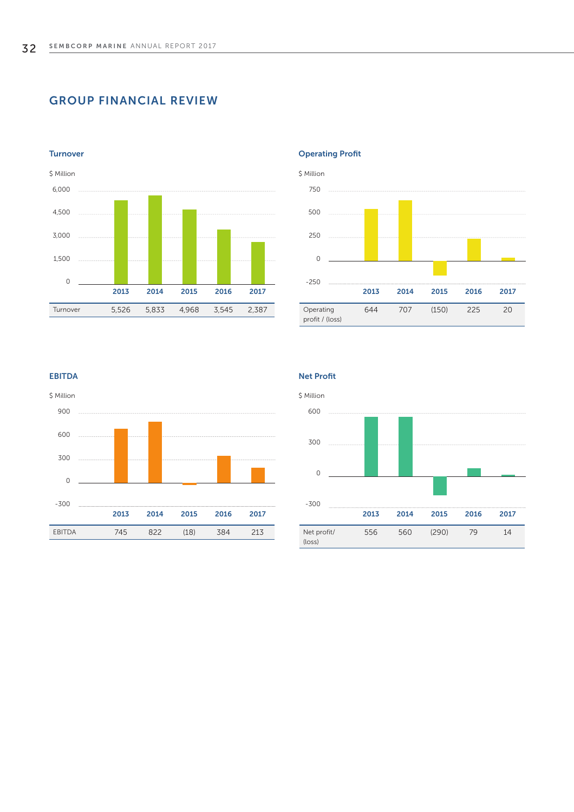# GROUP FINANCIAL REVIEW



#### **Turnover**





## EBITDA



Net Profit

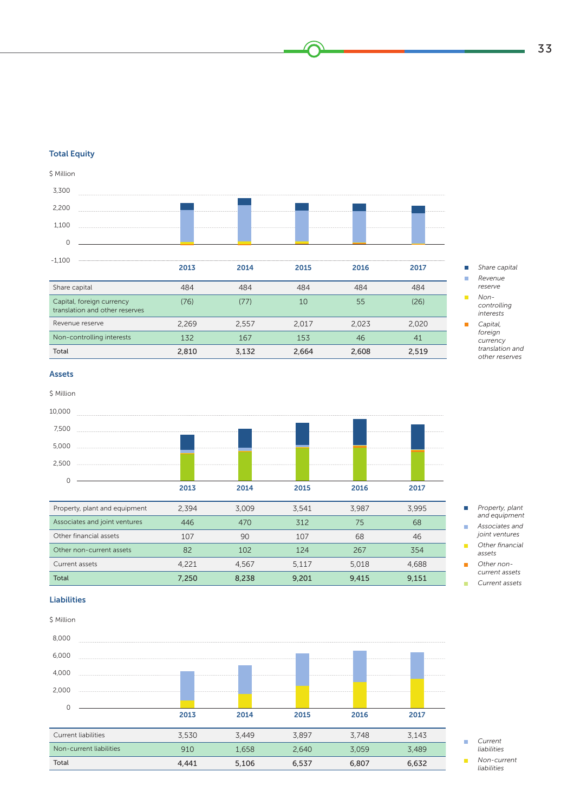## Total Equity



### Assets

\$ Million

| 10,000                        |       |       |       |       |       |
|-------------------------------|-------|-------|-------|-------|-------|
| 7,500                         |       |       |       |       |       |
| 5,000                         |       |       |       |       |       |
| 2,500                         |       |       |       |       |       |
| $\Omega$                      |       |       |       |       |       |
|                               | 2013  | 2014  | 2015  | 2016  | 2017  |
| Property, plant and equipment | 2,394 | 3,009 | 3,541 | 3,987 | 3,995 |
| Associates and joint ventures | 446   | 470   | 312   | 75    | 68    |
| Other financial assets        | 107   | 90    | 107   | 68    | 46    |
| Other non-current assets      | 82    | 102   | 124   | 267   | 354   |
| Current assets                | 4,221 | 4,567 | 5,117 | 5,018 | 4,688 |
| <b>Total</b>                  | 7,250 | 8,238 | 9,201 | 9,415 | 9,151 |

*Property, plant*   $\Box$ *and equipment*

*Share capital Revenue reserve Noncontrolling interests Capital, foreign currency translation and other reserves*

- *Associates and*   $\mathcal{C}^{\mathcal{A}}$ *joint ventures*
- *Other financial*   $\mathbf{r}$ *assets Other non-* $\overline{\phantom{a}}$
- *current assets Current assets* m.

## Liabilities

| \$ Million              |       |       |       |       |       |
|-------------------------|-------|-------|-------|-------|-------|
| 8,000                   |       |       |       |       |       |
| 6,000                   |       |       |       |       |       |
| 4,000                   |       |       |       |       |       |
| 2,000                   |       |       |       |       |       |
| $\Omega$                |       |       |       |       |       |
|                         | 2013  | 2014  | 2015  | 2016  | 2017  |
| Current liabilities     | 3,530 | 3,449 | 3,897 | 3,748 | 3,143 |
| Non-current liabilities | 910   | 1,658 | 2,640 | 3,059 | 3,489 |
| Total                   | 4,441 | 5,106 | 6,537 | 6,807 | 6,632 |

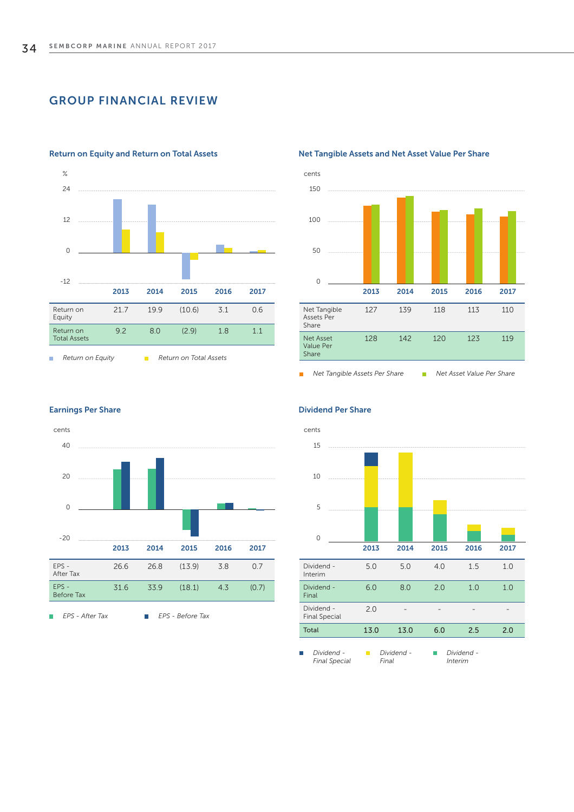# GROUP FINANCIAL REVIEW



### Return on Equity and Return on Total Assets

## Net Tangible Assets and Net Asset Value Per Share



### **Net Tangible Assets Per Share Net Asset Value Per Share**



Earnings Per Share

Ĥ.

Before Tax

*EPS - After Tax EPS - Before Tax* 

### Dividend Per Share

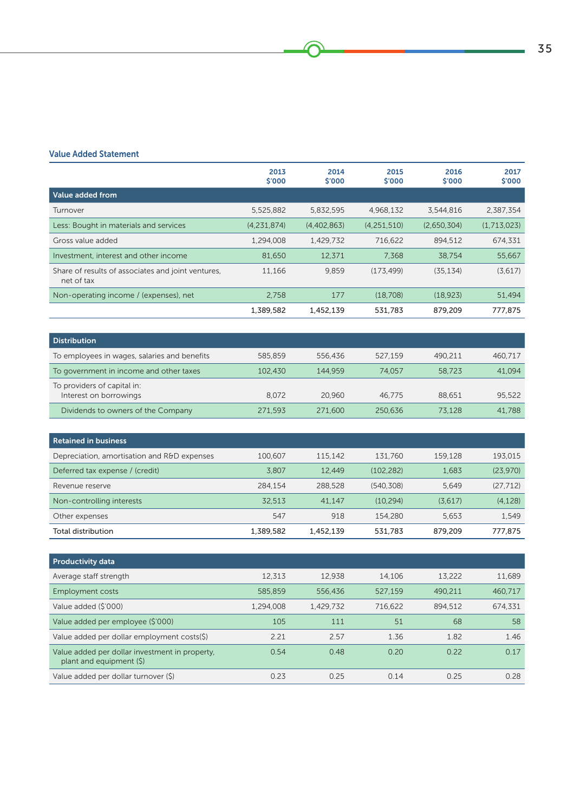## Value Added Statement

|                                                                  | 2013<br>\$'000 | 2014<br>\$′000 | 2015<br>$$^{\prime}000$ | 2016<br>\$'000 | 2017<br>\$'000 |
|------------------------------------------------------------------|----------------|----------------|-------------------------|----------------|----------------|
| Value added from                                                 |                |                |                         |                |                |
| Turnover                                                         | 5,525,882      | 5,832,595      | 4.968.132               | 3,544,816      | 2,387,354      |
| Less: Bought in materials and services                           | (4,231,874)    | (4,402,863)    | (4,251,510)             | (2.650.304)    | (1,713,023)    |
| Gross value added                                                | 1,294,008      | 1,429,732      | 716.622                 | 894.512        | 674.331        |
| Investment, interest and other income                            | 81,650         | 12.371         | 7.368                   | 38,754         | 55,667         |
| Share of results of associates and joint ventures,<br>net of tax | 11.166         | 9,859          | (173, 499)              | (35, 134)      | (3,617)        |
| Non-operating income / (expenses), net                           | 2.758          | 177            | (18.708)                | (18, 923)      | 51,494         |
|                                                                  | 1,389,582      | 1,452,139      | 531,783                 | 879,209        | 777,875        |

⋒

| <b>Distribution</b>                                   |         |         |         |         |         |
|-------------------------------------------------------|---------|---------|---------|---------|---------|
| To employees in wages, salaries and benefits          | 585,859 | 556,436 | 527.159 | 490.211 | 460.717 |
| To government in income and other taxes               | 102,430 | 144.959 | 74.057  | 58,723  | 41.094  |
| To providers of capital in:<br>Interest on borrowings | 8.072   | 20.960  | 46.775  | 88.651  | 95,522  |
| Dividends to owners of the Company                    | 271.593 | 271.600 | 250.636 | 73.128  | 41,788  |

| Retained in business                        |           |           |           |         |           |
|---------------------------------------------|-----------|-----------|-----------|---------|-----------|
| Depreciation, amortisation and R&D expenses | 100,607   | 115.142   | 131,760   | 159.128 | 193.015   |
| Deferred tax expense / (credit)             | 3.807     | 12.449    | (102.282) | 1.683   | (23.970)  |
| Revenue reserve                             | 284.154   | 288,528   | (540.308) | 5.649   | (27, 712) |
| Non-controlling interests                   | 32.513    | 41.147    | (10.294)  | (3.617) | (4.128)   |
| Other expenses                              | 547       | 918       | 154,280   | 5.653   | 1.549     |
| Total distribution                          | 1,389,582 | 1.452.139 | 531,783   | 879.209 | 777.875   |

| <b>Productivity data</b>                                                      |           |           |         |         |         |
|-------------------------------------------------------------------------------|-----------|-----------|---------|---------|---------|
| Average staff strength                                                        | 12.313    | 12.938    | 14.106  | 13,222  | 11.689  |
| <b>Employment costs</b>                                                       | 585,859   | 556,436   | 527.159 | 490.211 | 460.717 |
| Value added (\$'000)                                                          | 1,294,008 | 1.429.732 | 716.622 | 894.512 | 674.331 |
| Value added per employee (\$'000)                                             | 105       | 111       | 51      | 68      | 58      |
| Value added per dollar employment costs(\$)                                   | 2.21      | 2.57      | 1.36    | 1.82    | 1.46    |
| Value added per dollar investment in property,<br>plant and equipment $(\xi)$ | 0.54      | 0.48      | 0.20    | 0.22    | 0.17    |
| Value added per dollar turnover (\$)                                          | 0.23      | 0.25      | 0.14    | 0.25    | 0.28    |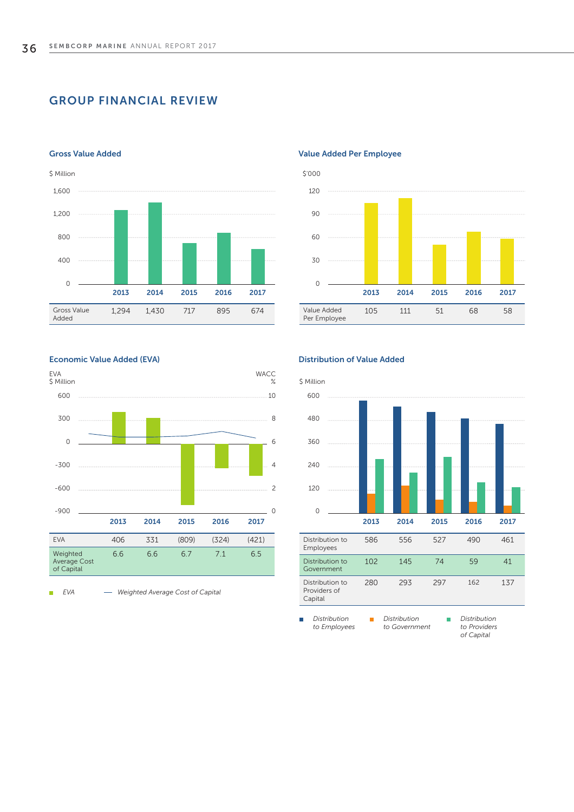# GROUP FINANCIAL REVIEW



#### Gross Value Added





#### Economic Value Added (EVA)



*EVA Weighted Average Cost of Capital* 

#### Distribution of Value Added